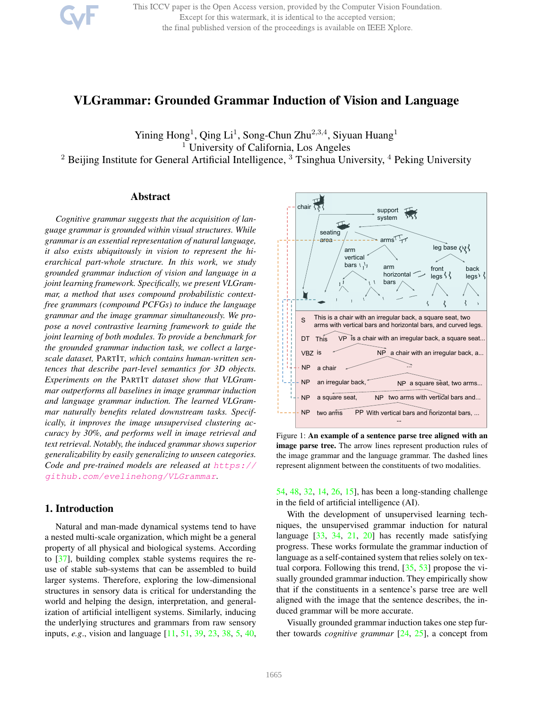This ICCV paper is the Open Access version, provided by the Computer Vision Foundation. Except for this watermark, it is identical to the accepted version; the final published version of the proceedings is available on IEEE Xplore.

# VLGrammar: Grounded Grammar Induction of Vision and Language

Yining Hong<sup>1</sup>, Qing Li<sup>1</sup>, Song-Chun Zhu<sup>2,3,4</sup>, Siyuan Huang<sup>1</sup> <sup>1</sup> University of California, Los Angeles

<sup>2</sup> Beijing Institute for General Artificial Intelligence, <sup>3</sup> Tsinghua University, <sup>4</sup> Peking University

# Abstract

*Cognitive grammar suggests that the acquisition of language grammar is grounded within visual structures. While grammar is an essential representation of natural language, it also exists ubiquitously in vision to represent the hierarchical part-whole structure. In this work, we study grounded grammar induction of vision and language in a joint learning framework. Specifically, we present VLGrammar, a method that uses compound probabilistic contextfree grammars (compound PCFGs) to induce the language grammar and the image grammar simultaneously. We propose a novel contrastive learning framework to guide the joint learning of both modules. To provide a benchmark for the grounded grammar induction task, we collect a largescale dataset,* PARTIT*, which contains human-written sentences that describe part-level semantics for 3D objects. Experiments on the* PARTIT *dataset show that VLGrammar outperforms all baselines in image grammar induction and language grammar induction. The learned VLGrammar naturally benefits related downstream tasks. Specifically, it improves the image unsupervised clustering accuracy by 30%, and performs well in image retrieval and text retrieval. Notably, the induced grammar shows superior generalizability by easily generalizing to unseen categories. Code and pre-trained models are released at* https:// github.com/evelinehong/VLGrammar*.*

# 1. Introduction

Natural and man-made dynamical systems tend to have a nested multi-scale organization, which might be a general property of all physical and biological systems. According to [37], building complex stable systems requires the reuse of stable sub-systems that can be assembled to build larger systems. Therefore, exploring the low-dimensional structures in sensory data is critical for understanding the world and helping the design, interpretation, and generalization of artificial intelligent systems. Similarly, inducing the underlying structures and grammars from raw sensory inputs, *e.g*., vision and language [11, 51, 39, 23, 38, 5, 40,



Figure 1: An example of a sentence parse tree aligned with an image parse tree. The arrow lines represent production rules of the image grammar and the language grammar. The dashed lines represent alignment between the constituents of two modalities.

54, 48, 32, 14, 26, 15], has been a long-standing challenge in the field of artificial intelligence (AI).

With the development of unsupervised learning techniques, the unsupervised grammar induction for natural language [33, 34, 21, 20] has recently made satisfying progress. These works formulate the grammar induction of language as a self-contained system that relies solely on textual corpora. Following this trend, [35, 53] propose the visually grounded grammar induction. They empirically show that if the constituents in a sentence's parse tree are well aligned with the image that the sentence describes, the induced grammar will be more accurate.

Visually grounded grammar induction takes one step further towards *cognitive grammar* [24, 25], a concept from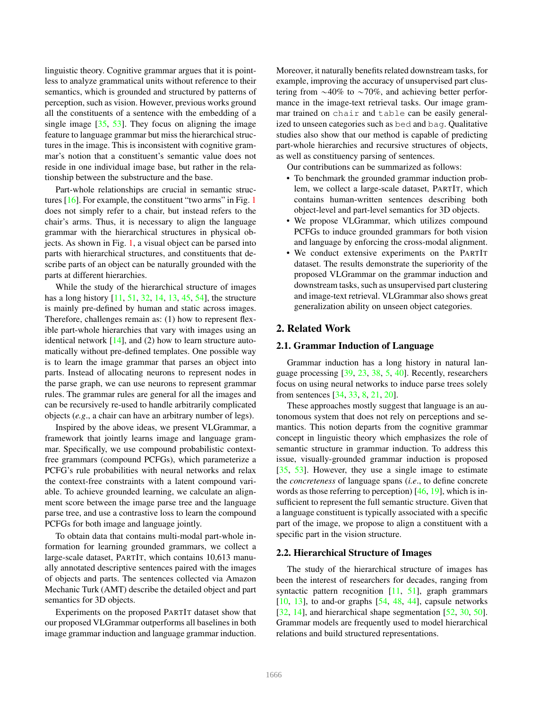linguistic theory. Cognitive grammar argues that it is pointless to analyze grammatical units without reference to their semantics, which is grounded and structured by patterns of perception, such as vision. However, previous works ground all the constituents of a sentence with the embedding of a single image [35, 53]. They focus on aligning the image feature to language grammar but miss the hierarchical structures in the image. This is inconsistent with cognitive grammar's notion that a constituent's semantic value does not reside in one individual image base, but rather in the relationship between the substructure and the base.

Part-whole relationships are crucial in semantic structures [16]. For example, the constituent "two arms" in Fig. 1 does not simply refer to a chair, but instead refers to the chair's arms. Thus, it is necessary to align the language grammar with the hierarchical structures in physical objects. As shown in Fig. 1, a visual object can be parsed into parts with hierarchical structures, and constituents that describe parts of an object can be naturally grounded with the parts at different hierarchies.

While the study of the hierarchical structure of images has a long history [11, 51, 32, 14, 13, 45, 54], the structure is mainly pre-defined by human and static across images. Therefore, challenges remain as: (1) how to represent flexible part-whole hierarchies that vary with images using an identical network  $[14]$ , and (2) how to learn structure automatically without pre-defined templates. One possible way is to learn the image grammar that parses an object into parts. Instead of allocating neurons to represent nodes in the parse graph, we can use neurons to represent grammar rules. The grammar rules are general for all the images and can be recursively re-used to handle arbitrarily complicated objects (*e.g*., a chair can have an arbitrary number of legs).

Inspired by the above ideas, we present VLGrammar, a framework that jointly learns image and language grammar. Specifically, we use compound probabilistic contextfree grammars (compound PCFGs), which parameterize a PCFG's rule probabilities with neural networks and relax the context-free constraints with a latent compound variable. To achieve grounded learning, we calculate an alignment score between the image parse tree and the language parse tree, and use a contrastive loss to learn the compound PCFGs for both image and language jointly.

To obtain data that contains multi-modal part-whole information for learning grounded grammars, we collect a large-scale dataset, PARTIT, which contains 10,613 manually annotated descriptive sentences paired with the images of objects and parts. The sentences collected via Amazon Mechanic Turk (AMT) describe the detailed object and part semantics for 3D objects.

Experiments on the proposed PARTIT dataset show that our proposed VLGrammar outperforms all baselines in both image grammar induction and language grammar induction. Moreover, it naturally benefits related downstream tasks, for example, improving the accuracy of unsupervised part clustering from  $\sim$ 40% to  $\sim$ 70%, and achieving better performance in the image-text retrieval tasks. Our image grammar trained on chair and table can be easily generalized to unseen categories such as bed and bag. Qualitative studies also show that our method is capable of predicting part-whole hierarchies and recursive structures of objects, as well as constituency parsing of sentences.

Our contributions can be summarized as follows:

- To benchmark the grounded grammar induction problem, we collect a large-scale dataset, PARTIT, which contains human-written sentences describing both object-level and part-level semantics for 3D objects.
- We propose VLGrammar, which utilizes compound PCFGs to induce grounded grammars for both vision and language by enforcing the cross-modal alignment.
- We conduct extensive experiments on the PARTIT dataset. The results demonstrate the superiority of the proposed VLGrammar on the grammar induction and downstream tasks, such as unsupervised part clustering and image-text retrieval. VLGrammar also shows great generalization ability on unseen object categories.

# 2. Related Work

#### 2.1. Grammar Induction of Language

Grammar induction has a long history in natural language processing [39, 23, 38, 5, 40]. Recently, researchers focus on using neural networks to induce parse trees solely from sentences [34, 33, 8, 21, 20].

These approaches mostly suggest that language is an autonomous system that does not rely on perceptions and semantics. This notion departs from the cognitive grammar concept in linguistic theory which emphasizes the role of semantic structure in grammar induction. To address this issue, visually-grounded grammar induction is proposed [35, 53]. However, they use a single image to estimate the *concreteness* of language spans (*i.e*., to define concrete words as those referring to perception)  $[46, 19]$ , which is insufficient to represent the full semantic structure. Given that a language constituent is typically associated with a specific part of the image, we propose to align a constituent with a specific part in the vision structure.

#### 2.2. Hierarchical Structure of Images

The study of the hierarchical structure of images has been the interest of researchers for decades, ranging from syntactic pattern recognition [11, 51], graph grammars  $[10, 13]$ , to and-or graphs  $[54, 48, 44]$ , capsule networks [32, 14], and hierarchical shape segmentation [52, 30, 50]. Grammar models are frequently used to model hierarchical relations and build structured representations.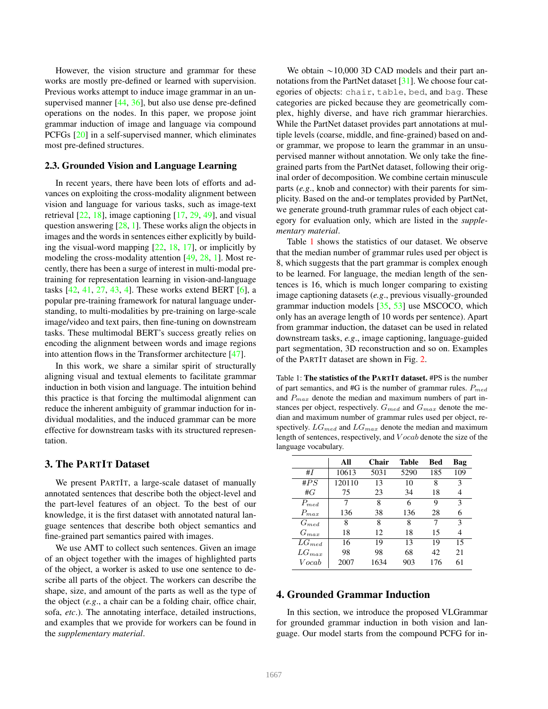However, the vision structure and grammar for these works are mostly pre-defined or learned with supervision. Previous works attempt to induce image grammar in an unsupervised manner [44, 36], but also use dense pre-defined operations on the nodes. In this paper, we propose joint grammar induction of image and language via compound PCFGs [20] in a self-supervised manner, which eliminates most pre-defined structures.

## 2.3. Grounded Vision and Language Learning

In recent years, there have been lots of efforts and advances on exploiting the cross-modality alignment between vision and language for various tasks, such as image-text retrieval [22, 18], image captioning [17, 29, 49], and visual question answering [28, 1]. These works align the objects in images and the words in sentences either explicitly by building the visual-word mapping [22, 18, 17], or implicitly by modeling the cross-modality attention [49, 28, 1]. Most recently, there has been a surge of interest in multi-modal pretraining for representation learning in vision-and-language tasks [42, 41, 27, 43, 4]. These works extend BERT [6], a popular pre-training framework for natural language understanding, to multi-modalities by pre-training on large-scale image/video and text pairs, then fine-tuning on downstream tasks. These multimodal BERT's success greatly relies on encoding the alignment between words and image regions into attention flows in the Transformer architecture [47].

In this work, we share a similar spirit of structurally aligning visual and textual elements to facilitate grammar induction in both vision and language. The intuition behind this practice is that forcing the multimodal alignment can reduce the inherent ambiguity of grammar induction for individual modalities, and the induced grammar can be more effective for downstream tasks with its structured representation.

## 3. The PARTIT Dataset

We present PARTIT, a large-scale dataset of manually annotated sentences that describe both the object-level and the part-level features of an object. To the best of our knowledge, it is the first dataset with annotated natural language sentences that describe both object semantics and fine-grained part semantics paired with images.

We use AMT to collect such sentences. Given an image of an object together with the images of highlighted parts of the object, a worker is asked to use one sentence to describe all parts of the object. The workers can describe the shape, size, and amount of the parts as well as the type of the object (*e.g*., a chair can be a folding chair, office chair, sofa, *etc*.). The annotating interface, detailed instructions, and examples that we provide for workers can be found in the *supplementary material*.

We obtain  $\sim$ 10,000 3D CAD models and their part annotations from the PartNet dataset [31]. We choose four categories of objects: chair, table, bed, and bag. These categories are picked because they are geometrically complex, highly diverse, and have rich grammar hierarchies. While the PartNet dataset provides part annotations at multiple levels (coarse, middle, and fine-grained) based on andor grammar, we propose to learn the grammar in an unsupervised manner without annotation. We only take the finegrained parts from the PartNet dataset, following their original order of decomposition. We combine certain minuscule parts (*e.g*., knob and connector) with their parents for simplicity. Based on the and-or templates provided by PartNet, we generate ground-truth grammar rules of each object category for evaluation only, which are listed in the *supplementary material*.

Table 1 shows the statistics of our dataset. We observe that the median number of grammar rules used per object is 8, which suggests that the part grammar is complex enough to be learned. For language, the median length of the sentences is 16, which is much longer comparing to existing image captioning datasets (*e.g*., previous visually-grounded grammar induction models [35, 53] use MSCOCO, which only has an average length of 10 words per sentence). Apart from grammar induction, the dataset can be used in related downstream tasks, *e.g*., image captioning, language-guided part segmentation, 3D reconstruction and so on. Examples of the PARTIT dataset are shown in Fig. 2.

Table 1: The statistics of the PARTIT dataset. #PS is the number of part semantics, and #G is the number of grammar rules.  $P_{med}$ and  $P_{max}$  denote the median and maximum numbers of part instances per object, respectively.  $G_{med}$  and  $G_{max}$  denote the median and maximum number of grammar rules used per object, respectively.  $LG_{med}$  and  $LG_{max}$  denote the median and maximum length of sentences, respectively, and V ocab denote the size of the language vocabulary.

|            | All    | Chair | <b>Table</b> | Bed | Bag |
|------------|--------|-------|--------------|-----|-----|
| #I         | 10613  | 5031  | 5290         | 185 | 109 |
| # $PS$     | 120110 | 13    | 10           | 8   | 3   |
| #G         | 75     | 23    | 34           | 18  | 4   |
| $P_{med}$  | 7      | 8     | 6            | 9   | 3   |
| $P_{max}$  | 136    | 38    | 136          | 28  | 6   |
| $G_{med}$  | 8      | 8     | 8            | 7   | 3   |
| $G_{max}$  | 18     | 12    | 18           | 15  | 4   |
| $LG_{med}$ | 16     | 19    | 13           | 19  | 15  |
| $LG_{max}$ | 98     | 98    | 68           | 42  | 21  |
| Vocab      | 2007   | 1634  | 903          | 176 | 61  |

# 4. Grounded Grammar Induction

In this section, we introduce the proposed VLGrammar for grounded grammar induction in both vision and language. Our model starts from the compound PCFG for in-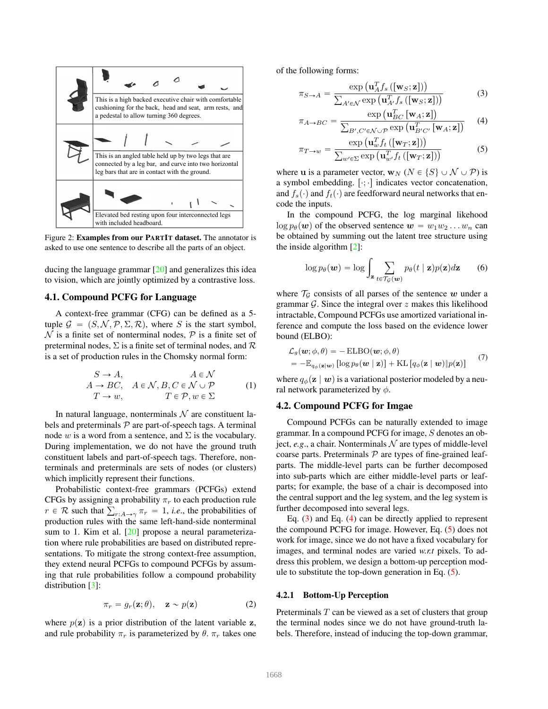

Figure 2: Examples from our PARTIT dataset. The annotator is asked to use one sentence to describe all the parts of an object.

ducing the language grammar [20] and generalizes this idea to vision, which are jointly optimized by a contrastive loss.

## 4.1. Compound PCFG for Language

A context-free grammar (CFG) can be defined as a 5 tuple  $\mathcal{G} = (S, \mathcal{N}, \mathcal{P}, \Sigma, \mathcal{R})$ , where S is the start symbol,  $\mathcal N$  is a finite set of nonterminal nodes,  $\mathcal P$  is a finite set of preterminal nodes,  $\Sigma$  is a finite set of terminal nodes, and  $\mathcal R$ is a set of production rules in the Chomsky normal form:

$$
S \to A, \qquad A \in \mathcal{N}
$$
  
\n
$$
A \to BC, \quad A \in \mathcal{N}, B, C \in \mathcal{N} \cup \mathcal{P}
$$
  
\n
$$
T \to w, \qquad T \in \mathcal{P}, w \in \Sigma
$$
 (1)

In natural language, nonterminals  $N$  are constituent labels and preterminals  $P$  are part-of-speech tags. A terminal node w is a word from a sentence, and  $\Sigma$  is the vocabulary. During implementation, we do not have the ground truth constituent labels and part-of-speech tags. Therefore, nonterminals and preterminals are sets of nodes (or clusters) which implicitly represent their functions.

Probabilistic context-free grammars (PCFGs) extend CFGs by assigning a probability  $\pi_r$  to each production rule CFGs by assigning a probability  $\pi_r$  to each production rule  $r \in \mathcal{R}$  such that  $\sum_{r:A\to\gamma} \pi_r = 1$ , *i.e.*, the probabilities of production rules with the same left-hand-side nonterminal sum to 1. Kim et al. [20] propose a neural parameterization where rule probabilities are based on distributed representations. To mitigate the strong context-free assumption, they extend neural PCFGs to compound PCFGs by assuming that rule probabilities follow a compound probability distribution [3]:

$$
\pi_r = g_r(\mathbf{z}; \theta), \quad \mathbf{z} \sim p(\mathbf{z}) \tag{2}
$$

where  $p(z)$  is a prior distribution of the latent variable z, and rule probability  $\pi_r$  is parameterized by  $\theta$ .  $\pi_r$  takes one of the following forms:

$$
\pi_{S \to A} = \frac{\exp\left(\mathbf{u}_{A}^{T} f_{s}\left(\left[\mathbf{w}_{S}; \mathbf{z}\right]\right)\right)}{\sum_{A' \in \mathcal{N}} \exp\left(\mathbf{u}_{A'}^{T} f_{s}\left(\left[\mathbf{w}_{S}; \mathbf{z}\right]\right)\right)}
$$
(3)  

$$
\exp\left(\mathbf{u}_{RC}^{T} \left[\mathbf{w}_{A}; \mathbf{z}\right]\right)
$$

$$
\pi_{A \to BC} = \frac{\exp(\mathbf{u}_{BC}^T[\mathbf{w}_A; \mathbf{z}])}{\sum_{B', C' \in \mathcal{N} \cup \mathcal{P}} \exp(\mathbf{u}_{B'C'}^T[\mathbf{w}_A; \mathbf{z}])}
$$
(4)  

$$
\exp(\mathbf{u}_{w}^T f_t([\mathbf{w}_T; \mathbf{z}]))
$$

$$
\pi_{T \to w} = \frac{\exp\left(\mathbf{u}_{w}^{T} f_t\left([\mathbf{w}_{T}; \mathbf{z}]\right)\right)}{\sum_{w' \in \Sigma} \exp\left(\mathbf{u}_{w'}^{T} f_t\left([\mathbf{w}_{T}; \mathbf{z}]\right)\right)}
$$
(5)

where **u** is a parameter vector,  $\mathbf{w}_N$  ( $N \in \{S\} \cup \mathcal{N} \cup \mathcal{P}$ ) is a symbol embedding.  $[\cdot; \cdot]$  indicates vector concatenation, and  $f_s(\cdot)$  and  $f_t(\cdot)$  are feedforward neural networks that encode the inputs.

In the compound PCFG, the log marginal likehood  $\log p_{\theta}(\boldsymbol{w})$  of the observed sentence  $\boldsymbol{w} = w_1w_2 \dots w_n$  can be obtained by summing out the latent tree structure using the inside algorithm [2]:

$$
\log p_{\theta}(\boldsymbol{w}) = \log \int_{\mathbf{z}} \sum_{t \in \mathcal{T}_{\mathcal{G}}(\boldsymbol{w})} p_{\theta}(t \mid \mathbf{z}) p(\mathbf{z}) d\mathbf{z}
$$
 (6)

where  $T_G$  consists of all parses of the sentence w under a grammar  $G$ . Since the integral over  $z$  makes this likelihood intractable, Compound PCFGs use amortized variational inference and compute the loss based on the evidence lower bound (ELBO):

$$
\mathcal{L}_{g}(\boldsymbol{w};\phi,\theta) = -\text{ELBO}(\boldsymbol{w};\phi,\theta) \n= -\mathbb{E}_{q_{\phi}(\mathbf{z}|\boldsymbol{w})}\left[\log p_{\theta}(\boldsymbol{w} \mid \mathbf{z})\right] + \text{KL}\left[q_{\phi}(\mathbf{z} \mid \boldsymbol{w}) \| p(\mathbf{z})\right]
$$
\n(7)

where  $q_{\phi}(\mathbf{z} \mid \boldsymbol{w})$  is a variational posterior modeled by a neural network parameterized by  $\phi$ .

#### 4.2. Compound PCFG for Imgae

Compound PCFGs can be naturally extended to image grammar. In a compound PCFG for image, S denotes an object,  $e.g.,$  a chair. Nonterminals  $N$  are types of middle-level coarse parts. Preterminals  $P$  are types of fine-grained leafparts. The middle-level parts can be further decomposed into sub-parts which are either middle-level parts or leafparts; for example, the base of a chair is decomposed into the central support and the leg system, and the leg system is further decomposed into several legs.

Eq. (3) and Eq. (4) can be directly applied to represent the compound PCFG for image. However, Eq. (5) does not work for image, since we do not have a fixed vocabulary for images, and terminal nodes are varied *w.r.t* pixels. To address this problem, we design a bottom-up perception module to substitute the top-down generation in Eq. (5).

## 4.2.1 Bottom-Up Perception

Preterminals  $T$  can be viewed as a set of clusters that group the terminal nodes since we do not have ground-truth labels. Therefore, instead of inducing the top-down grammar,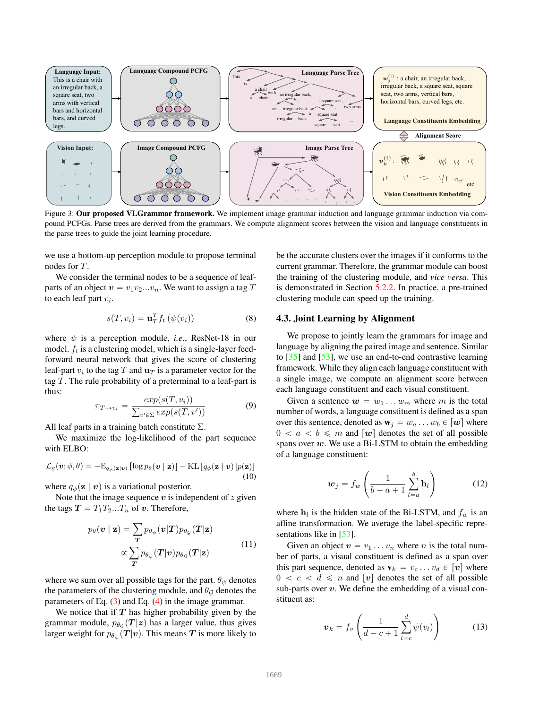

Figure 3: Our proposed VLGrammar framework. We implement image grammar induction and language grammar induction via compound PCFGs. Parse trees are derived from the grammars. We compute alignment scores between the vision and language constituents in the parse trees to guide the joint learning procedure.

we use a bottom-up perception module to propose terminal nodes for T.

We consider the terminal nodes to be a sequence of leafparts of an object  $v = v_1v_2...v_n$ . We want to assign a tag T to each leaf part  $v_i$ .

$$
s(T, v_i) = \mathbf{u}_T^T f_t \left( \psi(v_i) \right) \tag{8}
$$

where  $\psi$  is a perception module, *i.e.*, ResNet-18 in our model.  $f_t$  is a clustering model, which is a single-layer feedforward neural network that gives the score of clustering leaf-part  $v_i$  to the tag  $T$  and  $\mathbf{u}_T$  is a parameter vector for the tag  $T$ . The rule probability of a preterminal to a leaf-part is thus:

$$
\pi_{T \to v_i} = \frac{exp(s(T, v_i))}{\sum_{v' \in \Sigma} exp(s(T, v'))}
$$
(9)

All leaf parts in a training batch constitute  $\Sigma$ .

We maximize the log-likelihood of the part sequence with ELBO:

$$
\mathcal{L}_{g}(\boldsymbol{v};\phi,\theta) = -\mathbb{E}_{q_{\phi}(\mathbf{z}|\boldsymbol{v})} [\log p_{\theta}(\boldsymbol{v} \mid \mathbf{z})] - \mathrm{KL}\left[q_{\phi}(\mathbf{z} \mid \boldsymbol{v}) \| p(\mathbf{z})\right]
$$
(10)

where  $q_{\phi}(\mathbf{z} \mid \mathbf{v})$  is a variational posterior.

Note that the image sequence  $v$  is independent of  $z$  given the tags  $T = T_1 T_2...T_n$  of v. Therefore,

$$
p_{\theta}(\mathbf{v} \mid \mathbf{z}) = \sum_{\mathbf{T}} p_{\theta_{\psi}}(\mathbf{v} | \mathbf{T}) p_{\theta_{\mathcal{G}}}(\mathbf{T} | \mathbf{z})
$$

$$
\propto \sum_{\mathbf{T}} p_{\theta_{\psi}}(\mathbf{T} | \mathbf{v}) p_{\theta_{\mathcal{G}}}(\mathbf{T} | \mathbf{z})
$$
(11)

where we sum over all possible tags for the part.  $\theta_{\psi}$  denotes the parameters of the clustering module, and  $\theta_{\mathcal{G}}$  denotes the parameters of Eq.  $(3)$  and Eq.  $(4)$  in the image grammar.

We notice that if  $T$  has higher probability given by the grammar module,  $p_{\theta_{\mathcal{G}}}(T|z)$  has a larger value, thus gives larger weight for  $p_{\theta_\psi}(\bm{T}|\bm{v}).$  This means  $\bm{T}$  is more likely to be the accurate clusters over the images if it conforms to the current grammar. Therefore, the grammar module can boost the training of the clustering module, and *vice versa*. This is demonstrated in Section 5.2.2. In practice, a pre-trained clustering module can speed up the training.

### 4.3. Joint Learning by Alignment

We propose to jointly learn the grammars for image and language by aligning the paired image and sentence. Similar to [35] and [53], we use an end-to-end contrastive learning framework. While they align each language constituent with a single image, we compute an alignment score between each language constituent and each visual constituent.

Given a sentence  $w = w_1 \dots w_m$  where m is the total number of words, a language constituent is defined as a span over this sentence, denoted as  $w_i = w_a \dots w_b \in [w]$  where  $0 < a < b \leq m$  and  $[w]$  denotes the set of all possible spans over  $w$ . We use a Bi-LSTM to obtain the embedding of a language constituent:

$$
\boldsymbol{w}_j = f_w \left( \frac{1}{b-a+1} \sum_{l=a}^{b} \mathbf{h}_l \right) \tag{12}
$$

where  $h_l$  is the hidden state of the Bi-LSTM, and  $f_w$  is an affine transformation. We average the label-specific representations like in [53].

Given an object  $v = v_1 \dots v_n$  where *n* is the total number of parts, a visual constituent is defined as a span over this part sequence, denoted as  $\mathbf{v}_k = v_c \dots v_d \in [\mathbf{v}]$  where  $0 < c < d \leq n$  and  $[v]$  denotes the set of all possible sub-parts over  $v$ . We define the embedding of a visual constituent as:

$$
\boldsymbol{v}_k = f_v \left( \frac{1}{d-c+1} \sum_{l=c}^d \psi(v_l) \right) \tag{13}
$$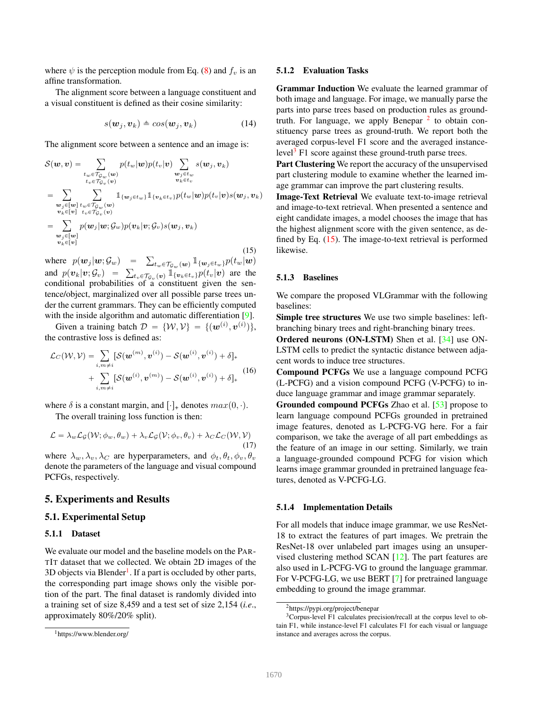where  $\psi$  is the perception module from Eq. (8) and  $f_v$  is an affine transformation.

The alignment score between a language constituent and a visual constituent is defined as their cosine similarity:

$$
s(\boldsymbol{w}_j, \boldsymbol{v}_k) \triangleq cos(\boldsymbol{w}_j, \boldsymbol{v}_k) \tag{14}
$$

The alignment score between a sentence and an image is:

$$
S(\boldsymbol{w}, \boldsymbol{v}) = \sum_{\substack{t_w \in \mathcal{T}_{\mathcal{G}_w}(\boldsymbol{w}) \\ t_v \in \mathcal{T}_{\mathcal{G}_v}(\boldsymbol{v})}} p(t_w | \boldsymbol{w}) p(t_v | \boldsymbol{v}) \sum_{\substack{\boldsymbol{w}_j \in t_w \\ \boldsymbol{v}_k \in t_v}} s(\boldsymbol{w}_j, \boldsymbol{v}_k)
$$
  
\n
$$
= \sum_{\substack{\boldsymbol{w}_j \in [\boldsymbol{w}] \\ \boldsymbol{v}_k \in [v]}} \sum_{\substack{t_w \in \mathcal{T}_{\mathcal{G}_w}(\boldsymbol{w}) \\ t_v \in \mathcal{T}_{\mathcal{G}_v}(\boldsymbol{v})}} \mathbb{1}_{\{\boldsymbol{w}_j \in t_w\}} \mathbb{1}_{\{\boldsymbol{v}_k \in t_v\}} p(t_w | \boldsymbol{w}) p(t_v | \boldsymbol{v}) s(\boldsymbol{w}_j, \boldsymbol{v}_k)
$$
  
\n
$$
= \sum_{\substack{\boldsymbol{w}_j \in [\boldsymbol{w}] \\ \boldsymbol{w}_j \in [\boldsymbol{v}]}} p(\boldsymbol{w}_j | \boldsymbol{w}; \mathcal{G}_w) p(\boldsymbol{v}_k | \boldsymbol{v}; \mathcal{G}_v) s(\boldsymbol{w}_j, \boldsymbol{v}_k)
$$
  
\n
$$
= \sum_{\substack{\boldsymbol{w}_j \in [\boldsymbol{v}] \\ \boldsymbol{v}_k \in [v]}} p(\boldsymbol{w}_j | \boldsymbol{w}; \mathcal{G}_w) p(\boldsymbol{v}_k | \boldsymbol{v}; \mathcal{G}_v) s(\boldsymbol{w}_j, \boldsymbol{v}_k)
$$
\n(15)

where  $p(\boldsymbol{w}_j | \boldsymbol{w}; \mathcal{G}_w)$  =  $\sum_{t_w \in \mathcal{T}_{\mathcal{G}_w}(\boldsymbol{w})} \mathbb{1}_{\{\boldsymbol{w}_j \in t_w\}} p(t_w | \boldsymbol{w})$ where  $p(\mathbf{w}_j | \mathbf{w}; \mathcal{G}_w) = \sum_{t_w \in \mathcal{T}_{\mathcal{G}_w}(\mathbf{w})} \mathbb{1}_{\{\mathbf{w}_j \in t_w\}} p(t_w | \mathbf{w})$ <br>and  $p(\mathbf{v}_k | \mathbf{v}; \mathcal{G}_v) = \sum_{t_v \in \mathcal{T}_{\mathcal{G}_v}(\mathbf{v})} \mathbb{1}_{\{\mathbf{v}_k \in t_v\}} p(t_v | \mathbf{v})$  are the conditional probabilities of a constituent given the sentence/object, marginalized over all possible parse trees under the current grammars. They can be efficiently computed with the inside algorithm and automatic differentiation [9].

Given a training batch  $\mathcal{D} = \{ \mathcal{W}, \mathcal{V} \} = \{ (\boldsymbol{w}^{(i)}, \boldsymbol{v}^{(i)}) \},$ the contrastive loss is defined as:

$$
\mathcal{L}_{C}(\mathcal{W}, \mathcal{V}) = \sum_{i, m \neq i} [\mathcal{S}(\mathbf{w}^{(m)}, \mathbf{v}^{(i)}) - \mathcal{S}(\mathbf{w}^{(i)}, \mathbf{v}^{(i)}) + \delta]_{+} + \sum_{i, m \neq i} [\mathcal{S}(\mathbf{w}^{(i)}, \mathbf{v}^{(m)}) - \mathcal{S}(\mathbf{w}^{(i)}, \mathbf{v}^{(i)}) + \delta]_{+}
$$
(16)

where  $\delta$  is a constant margin, and  $[\cdot]_+$  denotes  $max(0, \cdot)$ .

The overall training loss function is then:

$$
\mathcal{L} = \lambda_w \mathcal{L}_{\mathcal{G}}(\mathcal{W}; \phi_w, \theta_w) + \lambda_v \mathcal{L}_{\mathcal{G}}(\mathcal{V}; \phi_v, \theta_v) + \lambda_C \mathcal{L}_{C}(\mathcal{W}, \mathcal{V})
$$
\n(17)

where  $\lambda_w, \lambda_v, \lambda_c$  are hyperparameters, and  $\phi_t, \theta_t, \phi_v, \theta_v$ denote the parameters of the language and visual compound PCFGs, respectively.

## 5. Experiments and Results

#### 5.1. Experimental Setup

#### 5.1.1 Dataset

We evaluate our model and the baseline models on the PAR-TIT dataset that we collected. We obtain 2D images of the 3D objects via Blender<sup>1</sup>. If a part is occluded by other parts, the corresponding part image shows only the visible portion of the part. The final dataset is randomly divided into a training set of size 8,459 and a test set of size 2,154 (*i.e*., approximately 80%/20% split).

#### 5.1.2 Evaluation Tasks

Grammar Induction We evaluate the learned grammar of both image and language. For image, we manually parse the parts into parse trees based on production rules as groundtruth. For language, we apply Benepar  $2$  to obtain constituency parse trees as ground-truth. We report both the averaged corpus-level F1 score and the averaged instancelevel<sup>3</sup> F1 score against these ground-truth parse trees.

Part Clustering We report the accuracy of the unsupervised part clustering module to examine whether the learned image grammar can improve the part clustering results.

Image-Text Retrieval We evaluate text-to-image retrieval and image-to-text retrieval. When presented a sentence and eight candidate images, a model chooses the image that has the highest alignment score with the given sentence, as defined by Eq. (15). The image-to-text retrieval is performed likewise.

#### 5.1.3 Baselines

We compare the proposed VLGrammar with the following baselines:

Simple tree structures We use two simple baselines: leftbranching binary trees and right-branching binary trees.

Ordered neurons (ON-LSTM) Shen et al. [34] use ON-LSTM cells to predict the syntactic distance between adjacent words to induce tree structures.

Compound PCFGs We use a language compound PCFG (L-PCFG) and a vision compound PCFG (V-PCFG) to induce language grammar and image grammar separately.

Grounded compound PCFGs Zhao et al. [53] propose to learn language compound PCFGs grounded in pretrained image features, denoted as L-PCFG-VG here. For a fair comparison, we take the average of all part embeddings as the feature of an image in our setting. Similarly, we train a language-grounded compound PCFG for vision which learns image grammar grounded in pretrained language features, denoted as V-PCFG-LG.

#### 5.1.4 Implementation Details

For all models that induce image grammar, we use ResNet-18 to extract the features of part images. We pretrain the ResNet-18 over unlabeled part images using an unsupervised clustering method SCAN [12]. The part features are also used in L-PCFG-VG to ground the language grammar. For V-PCFG-LG, we use BERT [7] for pretrained language embedding to ground the image grammar.

<sup>1</sup>https://www.blender.org/

<sup>2</sup>https://pypi.org/project/benepar

<sup>3</sup>Corpus-level F1 calculates precision/recall at the corpus level to obtain F1, while instance-level F1 calculates F1 for each visual or language instance and averages across the corpus.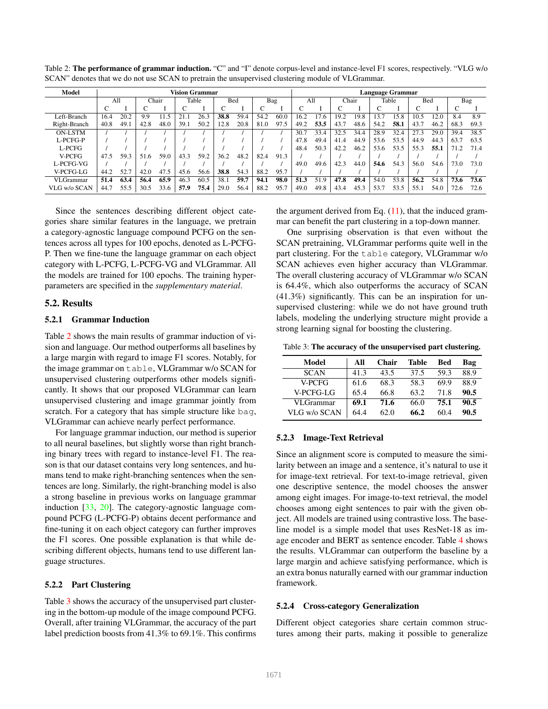| Model            | <b>Vision Grammar</b> |              |      |       |       |      |      | Language Grammar |            |      |       |      |       |      |      |      |      |      |                 |      |
|------------------|-----------------------|--------------|------|-------|-------|------|------|------------------|------------|------|-------|------|-------|------|------|------|------|------|-----------------|------|
|                  |                       | Chair<br>All |      |       | Table |      | Bed  |                  | Bag<br>All |      | Chair |      | Table |      | Bed  |      | Bag  |      |                 |      |
|                  | С                     |              |      |       |       |      |      |                  |            |      |       |      |       |      |      |      |      |      | $\sqrt{ }$<br>U |      |
| Left-Branch      | 16.4                  | 20.2         | 9.9  | i 1.5 | 21.1  | 26.3 | 38.8 | 59.4             | 54.2       | 60.0 | 16.2  | 17.6 | 19.2  | 19.8 | 13.7 | 15.8 | 10.5 | 12.0 | 8.4             | 8.9  |
| Right-Branch     | 40.8                  | 49.1         | 42.8 | 48.0  | 39.1  | 50.2 | 12.8 | 20.8             | 81.0       | 97.5 | 49.2  | 53.5 | 43.7  | 48.6 | 54.2 | 58.1 | 43.7 | 46.2 | 68.3            | 69.3 |
| <b>ON-LSTM</b>   |                       |              |      |       |       |      |      |                  |            |      | 30.7  | 33.4 | 32.5  | 34.4 | 28.9 | 32.4 | .3   | 29.0 | 39.4            | 38.5 |
| L-PCFG-P         |                       |              |      |       |       |      |      |                  |            |      | 47.8  | 49.4 | 41.4  | 44.9 | 53.6 | 53.5 | 44.9 | 44.3 | 63.7            | 63.5 |
| L-PCFG           |                       |              |      |       |       |      |      |                  |            |      | 48.4  | 50.3 | 42.2  | 46.2 | 53.6 | 53.5 | 55.3 | 55.1 | 71.2            | 71.4 |
| V-PCFG           | 47.5                  | 59.3         | 51.6 | 59.0  | 43.3  | 59.2 | 36.2 | 48.2             | 82.4       | 91.3 |       |      |       |      |      |      |      |      |                 |      |
| L-PCFG-VG        |                       |              |      |       |       |      |      |                  |            |      | 49.0  | 49.6 | 42.3  | 44.C | 54.6 | 54.3 | 56.0 | 54.6 | 73.0            | 73.0 |
| V-PCFG-LG        | 44.2                  | 52.7         | 42.0 | 47.5  | 45.6  | 56.6 | 38.8 | 54.3             | 88.2       | 95.7 |       |      |       |      |      |      |      |      |                 |      |
| <b>VLGrammar</b> | 51.4                  | 63.4         | 56.4 | 65.9  | 46.3  | 60.5 | 38.1 | 59.7             | 94.1       | 98.0 | 51.3  | 51.9 | 47.8  | 49.4 | 54.0 | 53.8 | 56.2 | 54.8 | 73.6            | 73.6 |
| VLG w/o SCAN     | 44.7                  | 55.5         | 30.5 | 33.6  | 57.9  | 75.4 | 29.0 | 56.4             | 88.2       | 95.7 | 49.0  | 49.8 | 43.4  | 45.3 | 53.7 | 53.5 | 55.1 | 54.0 | 72.6            | 72.6 |

Table 2: The performance of grammar induction. "C" and "I" denote corpus-level and instance-level F1 scores, respectively. "VLG w/o SCAN" denotes that we do not use SCAN to pretrain the unsupervised clustering module of VLGrammar.

Since the sentences describing different object categories share similar features in the language, we pretrain a category-agnostic language compound PCFG on the sentences across all types for 100 epochs, denoted as L-PCFG-P. Then we fine-tune the language grammar on each object category with L-PCFG, L-PCFG-VG and VLGrammar. All the models are trained for 100 epochs. The training hyperparameters are specified in the *supplementary material*.

## 5.2. Results

### 5.2.1 Grammar Induction

Table 2 shows the main results of grammar induction of vision and language. Our method outperforms all baselines by a large margin with regard to image F1 scores. Notably, for the image grammar on table, VLGrammar w/o SCAN for unsupervised clustering outperforms other models significantly. It shows that our proposed VLGrammar can learn unsupervised clustering and image grammar jointly from scratch. For a category that has simple structure like bag, VLGrammar can achieve nearly perfect performance.

For language grammar induction, our method is superior to all neural baselines, but slightly worse than right branching binary trees with regard to instance-level F1. The reason is that our dataset contains very long sentences, and humans tend to make right-branching sentences when the sentences are long. Similarly, the right-branching model is also a strong baseline in previous works on language grammar induction [33, 20]. The category-agnostic language compound PCFG (L-PCFG-P) obtains decent performance and fine-tuning it on each object category can further improves the F1 scores. One possible explanation is that while describing different objects, humans tend to use different language structures.

## 5.2.2 Part Clustering

Table 3 shows the accuracy of the unsupervised part clustering in the bottom-up module of the image compound PCFG. Overall, after training VLGrammar, the accuracy of the part label prediction boosts from 41.3% to 69.1%. This confirms

the argument derived from Eq.  $(11)$ , that the induced grammar can benefit the part clustering in a top-down manner.

One surprising observation is that even without the SCAN pretraining, VLGrammar performs quite well in the part clustering. For the table category, VLGrammar w/o SCAN achieves even higher accuracy than VLGrammar. The overall clustering accuracy of VLGrammar w/o SCAN is 64.4%, which also outperforms the accuracy of SCAN (41.3%) significantly. This can be an inspiration for unsupervised clustering: while we do not have ground truth labels, modeling the underlying structure might provide a strong learning signal for boosting the clustering.

Table 3: The accuracy of the unsupervised part clustering.

| Model            | All  | <b>Chair</b> | Table | Bed  | Bag  |
|------------------|------|--------------|-------|------|------|
| <b>SCAN</b>      | 41.3 | 43.5         | 37.5  | 59.3 | 88.9 |
| V-PCFG           | 61.6 | 68.3         | 58.3  | 69.9 | 88.9 |
| V-PCFG-LG        | 65.4 | 66.8         | 63.2  | 71.8 | 90.5 |
| <b>VLGrammar</b> | 69.1 | 71.6         | 66.0  | 75.1 | 90.5 |
| VLG w/o SCAN     | 64.4 | 62.0         | 66.2  | 60.4 | 90.5 |

## 5.2.3 Image-Text Retrieval

Since an alignment score is computed to measure the similarity between an image and a sentence, it's natural to use it for image-text retrieval. For text-to-image retrieval, given one descriptive sentence, the model chooses the answer among eight images. For image-to-text retrieval, the model chooses among eight sentences to pair with the given object. All models are trained using contrastive loss. The baseline model is a simple model that uses ResNet-18 as image encoder and BERT as sentence encoder. Table 4 shows the results. VLGrammar can outperform the baseline by a large margin and achieve satisfying performance, which is an extra bonus naturally earned with our grammar induction framework.

#### 5.2.4 Cross-category Generalization

Different object categories share certain common structures among their parts, making it possible to generalize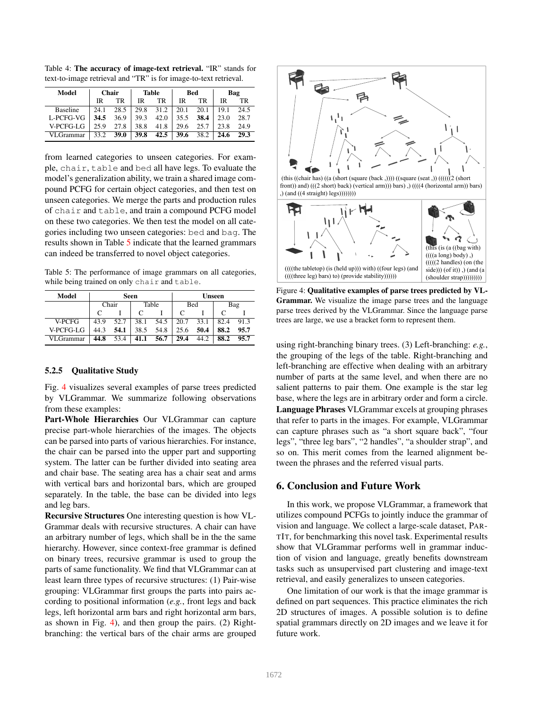| Model           | Chair |      |      | Table |      | Bed  | Bag  |      |  |
|-----------------|-------|------|------|-------|------|------|------|------|--|
|                 | IR    | TR   | IR   | TR    | IR   | TR   | IR   | TR.  |  |
| <b>Baseline</b> | 24.1  | 28.5 | 29.8 | 31.2  | 20.1 | 20.1 | 19.1 | 24.5 |  |
| L-PCFG-VG       | 34.5  | 36.9 | 39.3 | 42.0  | 35.5 | 38.4 | 23.0 | 28.7 |  |
| V-PCFG-LG       | 25.9  | 27.8 | 38.8 | 41.8  | 29.6 | 25.7 | 23.8 | 24.9 |  |
| VLGrammar       | 33.2  | 39.0 | 39.8 | 42.5  | 39.6 | 38.2 | 24.6 | 29.3 |  |

Table 4: The accuracy of image-text retrieval. "IR" stands for text-to-image retrieval and "TR" is for image-to-text retrieval.

from learned categories to unseen categories. For example, chair, table and bed all have legs. To evaluate the model's generalization ability, we train a shared image compound PCFG for certain object categories, and then test on unseen categories. We merge the parts and production rules of chair and table, and train a compound PCFG model on these two categories. We then test the model on all categories including two unseen categories: bed and bag. The results shown in Table 5 indicate that the learned grammars can indeed be transferred to novel object categories.

Table 5: The performance of image grammars on all categories, while being trained on only chair and table.

| Model            |            |      | Seen |       | Unseen |      |      |      |  |  |
|------------------|------------|------|------|-------|--------|------|------|------|--|--|
|                  | Chair<br>C |      |      | Table |        | Bed  | Bag  |      |  |  |
|                  |            |      |      |       |        |      | C    |      |  |  |
| V-PCFG           | 43.9       | 52.7 | 38.1 | 54.5  | 20.7   | 33.1 | 82.4 | 913  |  |  |
| V-PCFG-LG        | 44.3       | 54.1 | 38.5 | 54.8  | 25.6   | 50.4 | 88.2 | 95.7 |  |  |
| <b>VLGrammar</b> | 44.8       | 53.4 | 41.1 | 56.7  | 29.4   | 44.2 | 88.2 | 95.7 |  |  |

## 5.2.5 Qualitative Study

Fig. 4 visualizes several examples of parse trees predicted by VLGrammar. We summarize following observations from these examples:

Part-Whole Hierarchies Our VLGrammar can capture precise part-whole hierarchies of the images. The objects can be parsed into parts of various hierarchies. For instance, the chair can be parsed into the upper part and supporting system. The latter can be further divided into seating area and chair base. The seating area has a chair seat and arms with vertical bars and horizontal bars, which are grouped separately. In the table, the base can be divided into legs and leg bars.

Recursive Structures One interesting question is how VL-Grammar deals with recursive structures. A chair can have an arbitrary number of legs, which shall be in the the same hierarchy. However, since context-free grammar is defined on binary trees, recursive grammar is used to group the parts of same functionality. We find that VLGrammar can at least learn three types of recursive structures: (1) Pair-wise grouping: VLGrammar first groups the parts into pairs according to positional information (*e.g.*, front legs and back legs, left horizontal arm bars and right horizontal arm bars, as shown in Fig. 4), and then group the pairs. (2) Rightbranching: the vertical bars of the chair arms are grouped



Figure 4: Qualitative examples of parse trees predicted by VL-Grammar. We visualize the image parse trees and the language parse trees derived by the VLGrammar. Since the language parse trees are large, we use a bracket form to represent them.

using right-branching binary trees. (3) Left-branching: *e.g.*, the grouping of the legs of the table. Right-branching and left-branching are effective when dealing with an arbitrary number of parts at the same level, and when there are no salient patterns to pair them. One example is the star leg base, where the legs are in arbitrary order and form a circle. Language Phrases VLGrammar excels at grouping phrases that refer to parts in the images. For example, VLGrammar can capture phrases such as "a short square back", "four legs", "three leg bars", "2 handles", "a shoulder strap", and so on. This merit comes from the learned alignment between the phrases and the referred visual parts.

## 6. Conclusion and Future Work

In this work, we propose VLGrammar, a framework that utilizes compound PCFGs to jointly induce the grammar of vision and language. We collect a large-scale dataset, PAR-TIT, for benchmarking this novel task. Experimental results show that VLGrammar performs well in grammar induction of vision and language, greatly benefits downstream tasks such as unsupervised part clustering and image-text retrieval, and easily generalizes to unseen categories.

One limitation of our work is that the image grammar is defined on part sequences. This practice eliminates the rich 2D structures of images. A possible solution is to define spatial grammars directly on 2D images and we leave it for future work.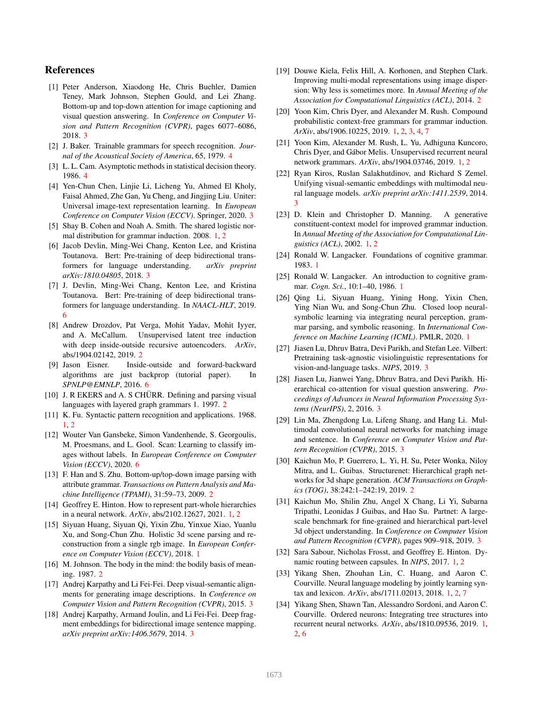# References

- [1] Peter Anderson, Xiaodong He, Chris Buehler, Damien Teney, Mark Johnson, Stephen Gould, and Lei Zhang. Bottom-up and top-down attention for image captioning and visual question answering. In *Conference on Computer Vision and Pattern Recognition (CVPR)*, pages 6077–6086, 2018. 3
- [2] J. Baker. Trainable grammars for speech recognition. *Journal of the Acoustical Society of America*, 65, 1979. 4
- [3] L. L. Cam. Asymptotic methods in statistical decision theory. 1986. 4
- [4] Yen-Chun Chen, Linjie Li, Licheng Yu, Ahmed El Kholy, Faisal Ahmed, Zhe Gan, Yu Cheng, and Jingjing Liu. Uniter: Universal image-text representation learning. In *European Conference on Computer Vision (ECCV)*. Springer, 2020. 3
- [5] Shay B. Cohen and Noah A. Smith. The shared logistic normal distribution for grammar induction. 2008. 1, 2
- [6] Jacob Devlin, Ming-Wei Chang, Kenton Lee, and Kristina Toutanova. Bert: Pre-training of deep bidirectional transformers for language understanding. *arXiv preprint arXiv:1810.04805*, 2018. 3
- [7] J. Devlin, Ming-Wei Chang, Kenton Lee, and Kristina Toutanova. Bert: Pre-training of deep bidirectional transformers for language understanding. In *NAACL-HLT*, 2019. 6
- [8] Andrew Drozdov, Pat Verga, Mohit Yadav, Mohit Iyyer, and A. McCallum. Unsupervised latent tree induction with deep inside-outside recursive autoencoders. *ArXiv*, abs/1904.02142, 2019. 2
- [9] Jason Eisner. Inside-outside and forward-backward algorithms are just backprop (tutorial paper). In *SPNLP@EMNLP*, 2016. 6
- [10] J. R EKERS and A. S CHÜRR. Defining and parsing visual languages with layered graph grammars 1. 1997. 2
- [11] K. Fu. Syntactic pattern recognition and applications. 1968. 1, 2
- [12] Wouter Van Gansbeke, Simon Vandenhende, S. Georgoulis, M. Proesmans, and L. Gool. Scan: Learning to classify images without labels. In *European Conference on Computer Vision (ECCV)*, 2020. 6
- [13] F. Han and S. Zhu. Bottom-up/top-down image parsing with attribute grammar. *Transactions on Pattern Analysis and Machine Intelligence (TPAMI)*, 31:59–73, 2009. 2
- [14] Geoffrey E. Hinton. How to represent part-whole hierarchies in a neural network. *ArXiv*, abs/2102.12627, 2021. 1, 2
- [15] Siyuan Huang, Siyuan Qi, Yixin Zhu, Yinxue Xiao, Yuanlu Xu, and Song-Chun Zhu. Holistic 3d scene parsing and reconstruction from a single rgb image. In *European Conference on Computer Vision (ECCV)*, 2018. 1
- [16] M. Johnson. The body in the mind: the bodily basis of meaning. 1987. 2
- [17] Andrej Karpathy and Li Fei-Fei. Deep visual-semantic alignments for generating image descriptions. In *Conference on Computer Vision and Pattern Recognition (CVPR)*, 2015. 3
- [18] Andrej Karpathy, Armand Joulin, and Li Fei-Fei. Deep fragment embeddings for bidirectional image sentence mapping. *arXiv preprint arXiv:1406.5679*, 2014. 3
- [19] Douwe Kiela, Felix Hill, A. Korhonen, and Stephen Clark. Improving multi-modal representations using image dispersion: Why less is sometimes more. In *Annual Meeting of the Association for Computational Linguistics (ACL)*, 2014. 2
- [20] Yoon Kim, Chris Dyer, and Alexander M. Rush. Compound probabilistic context-free grammars for grammar induction. *ArXiv*, abs/1906.10225, 2019. 1, 2, 3, 4, 7
- [21] Yoon Kim, Alexander M. Rush, L. Yu, Adhiguna Kuncoro, Chris Dyer, and Gabor Melis. Unsupervised recurrent neural ´ network grammars. *ArXiv*, abs/1904.03746, 2019. 1, 2
- [22] Ryan Kiros, Ruslan Salakhutdinov, and Richard S Zemel. Unifying visual-semantic embeddings with multimodal neural language models. *arXiv preprint arXiv:1411.2539*, 2014. 3
- [23] D. Klein and Christopher D. Manning. A generative constituent-context model for improved grammar induction. In *Annual Meeting of the Association for Computational Linguistics (ACL)*, 2002. 1, 2
- [24] Ronald W. Langacker. Foundations of cognitive grammar. 1983. 1
- [25] Ronald W. Langacker. An introduction to cognitive grammar. *Cogn. Sci.*, 10:1–40, 1986. 1
- [26] Qing Li, Siyuan Huang, Yining Hong, Yixin Chen, Ying Nian Wu, and Song-Chun Zhu. Closed loop neuralsymbolic learning via integrating neural perception, grammar parsing, and symbolic reasoning. In *International Conference on Machine Learning (ICML)*. PMLR, 2020. 1
- [27] Jiasen Lu, Dhruv Batra, Devi Parikh, and Stefan Lee. Vilbert: Pretraining task-agnostic visiolinguistic representations for vision-and-language tasks. *NIPS*, 2019. 3
- [28] Jiasen Lu, Jianwei Yang, Dhruv Batra, and Devi Parikh. Hierarchical co-attention for visual question answering. *Proceedings of Advances in Neural Information Processing Systems (NeurIPS)*, 2, 2016. 3
- [29] Lin Ma, Zhengdong Lu, Lifeng Shang, and Hang Li. Multimodal convolutional neural networks for matching image and sentence. In *Conference on Computer Vision and Pattern Recognition (CVPR)*, 2015. 3
- [30] Kaichun Mo, P. Guerrero, L. Yi, H. Su, Peter Wonka, Niloy Mitra, and L. Guibas. Structurenet: Hierarchical graph networks for 3d shape generation. *ACM Transactions on Graphics (TOG)*, 38:242:1–242:19, 2019. 2
- [31] Kaichun Mo, Shilin Zhu, Angel X Chang, Li Yi, Subarna Tripathi, Leonidas J Guibas, and Hao Su. Partnet: A largescale benchmark for fine-grained and hierarchical part-level 3d object understanding. In *Conference on Computer Vision and Pattern Recognition (CVPR)*, pages 909–918, 2019. 3
- [32] Sara Sabour, Nicholas Frosst, and Geoffrey E. Hinton. Dynamic routing between capsules. In *NIPS*, 2017. 1, 2
- [33] Yikang Shen, Zhouhan Lin, C. Huang, and Aaron C. Courville. Neural language modeling by jointly learning syntax and lexicon. *ArXiv*, abs/1711.02013, 2018. 1, 2, 7
- [34] Yikang Shen, Shawn Tan, Alessandro Sordoni, and Aaron C. Courville. Ordered neurons: Integrating tree structures into recurrent neural networks. *ArXiv*, abs/1810.09536, 2019. 1, 2, 6